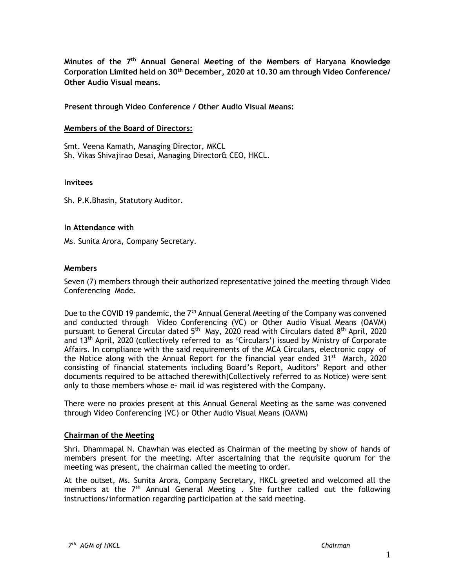**Minutes of the 7 th Annual General Meeting of the Members of Haryana Knowledge Corporation Limited held on 30th December, 2020 at 10.30 am through Video Conference/ Other Audio Visual means.**

**Present through Video Conference / Other Audio Visual Means:**

#### **Members of the Board of Directors:**

Smt. Veena Kamath, Managing Director, MKCL Sh. Vikas Shivajirao Desai, Managing Director& CEO, HKCL.

#### **Invitees**

Sh. P.K.Bhasin, Statutory Auditor.

#### **In Attendance with**

Ms. Sunita Arora, Company Secretary.

## **Members**

Seven (7) members through their authorized representative joined the meeting through Video Conferencing Mode.

Due to the COVID 19 pandemic, the  $7<sup>th</sup>$  Annual General Meeting of the Company was convened and conducted through Video Conferencing (VC) or Other Audio Visual Means (OAVM) pursuant to General Circular dated 5<sup>th</sup> May, 2020 read with Circulars dated 8<sup>th</sup> April, 2020 and 13th April, 2020 (collectively referred to as 'Circulars') issued by Ministry of Corporate Affairs. In compliance with the said requirements of the MCA Circulars, electronic copy of the Notice along with the Annual Report for the financial year ended  $31^{st}$  March, 2020 consisting of financial statements including Board's Report, Auditors' Report and other documents required to be attached therewith(Collectively referred to as Notice) were sent only to those members whose e- mail id was registered with the Company.

There were no proxies present at this Annual General Meeting as the same was convened through Video Conferencing (VC) or Other Audio Visual Means (OAVM)

#### **Chairman of the Meeting**

Shri. Dhammapal N. Chawhan was elected as Chairman of the meeting by show of hands of members present for the meeting. After ascertaining that the requisite quorum for the meeting was present, the chairman called the meeting to order.

At the outset, Ms. Sunita Arora, Company Secretary, HKCL greeted and welcomed all the members at the  $7<sup>th</sup>$  Annual General Meeting . She further called out the following instructions/information regarding participation at the said meeting.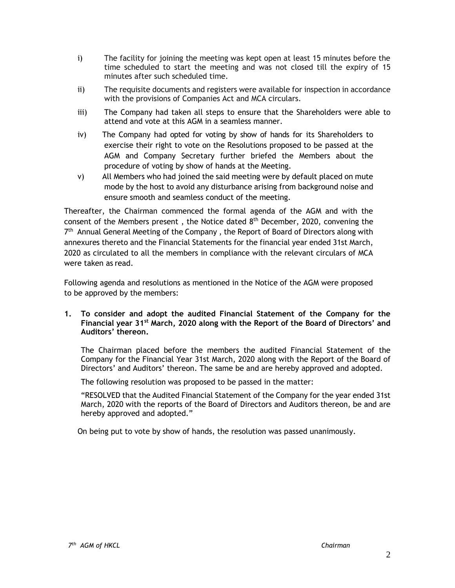- i) The facility for joining the meeting was kept open at least 15 minutes before the time scheduled to start the meeting and was not closed till the expiry of 15 minutes after such scheduled time.
- ii) The requisite documents and registers were available for inspection in accordance with the provisions of Companies Act and MCA circulars.
- iii) The Company had taken all steps to ensure that the Shareholders were able to attend and vote at this AGM in a seamless manner.
- iv) The Company had opted for voting by show of hands for its Shareholders to exercise their right to vote on the Resolutions proposed to be passed at the AGM and Company Secretary further briefed the Members about the procedure of voting by show of hands at the Meeting.
- v) All Members who had joined the said meeting were by default placed on mute mode by the host to avoid any disturbance arising from background noise and ensure smooth and seamless conduct of the meeting.

Thereafter, the Chairman commenced the formal agenda of the AGM and with the consent of the Members present, the Notice dated  $8<sup>th</sup>$  December, 2020, convening the 7<sup>th</sup> Annual General Meeting of the Company, the Report of Board of Directors along with annexures thereto and the Financial Statements for the financial year ended 31st March, 2020 as circulated to all the members in compliance with the relevant circulars of MCA were taken as read.

Following agenda and resolutions as mentioned in the Notice of the AGM were proposed to be approved by the members:

**1. To consider and adopt the audited Financial Statement of the Company for the Financial year 31st March, 2020 along with the Report of the Board of Directors' and Auditors' thereon.**

The Chairman placed before the members the audited Financial Statement of the Company for the Financial Year 31st March, 2020 along with the Report of the Board of Directors' and Auditors' thereon. The same be and are hereby approved and adopted.

The following resolution was proposed to be passed in the matter:

"RESOLVED that the Audited Financial Statement of the Company for the year ended 31st March, 2020 with the reports of the Board of Directors and Auditors thereon, be and are hereby approved and adopted."

On being put to vote by show of hands, the resolution was passed unanimously.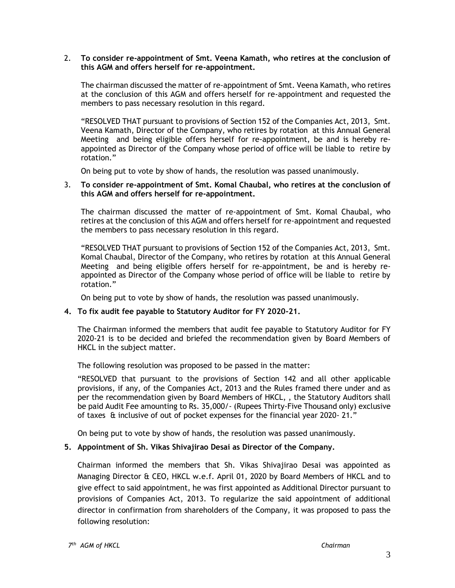## 2. **To consider re-appointment of Smt. Veena Kamath, who retires at the conclusion of this AGM and offers herself for re-appointment.**

The chairman discussed the matter of re-appointment of Smt. Veena Kamath, who retires at the conclusion of this AGM and offers herself for re-appointment and requested the members to pass necessary resolution in this regard.

"RESOLVED THAT pursuant to provisions of Section 152 of the Companies Act, 2013, Smt. Veena Kamath, Director of the Company, who retires by rotation at this Annual General Meeting and being eligible offers herself for re-appointment, be and is hereby reappointed as Director of the Company whose period of office will be liable to retire by rotation."

On being put to vote by show of hands, the resolution was passed unanimously.

## 3. **To consider re-appointment of Smt. Komal Chaubal, who retires at the conclusion of this AGM and offers herself for re-appointment.**

The chairman discussed the matter of re-appointment of Smt. Komal Chaubal, who retires at the conclusion of this AGM and offers herself for re-appointment and requested the members to pass necessary resolution in this regard.

"RESOLVED THAT pursuant to provisions of Section 152 of the Companies Act, 2013, Smt. Komal Chaubal, Director of the Company, who retires by rotation at this Annual General Meeting and being eligible offers herself for re-appointment, be and is hereby reappointed as Director of the Company whose period of office will be liable to retire by rotation."

On being put to vote by show of hands, the resolution was passed unanimously.

# **4. To fix audit fee payable to Statutory Auditor for FY 2020-21.**

The Chairman informed the members that audit fee payable to Statutory Auditor for FY 2020-21 is to be decided and briefed the recommendation given by Board Members of HKCL in the subject matter.

The following resolution was proposed to be passed in the matter:

"RESOLVED that pursuant to the provisions of Section 142 and all other applicable provisions, if any, of the Companies Act, 2013 and the Rules framed there under and as per the recommendation given by Board Members of HKCL, , the Statutory Auditors shall be paid Audit Fee amounting to Rs. 35,000/- (Rupees Thirty-Five Thousand only) exclusive of taxes & inclusive of out of pocket expenses for the financial year 2020- 21."

On being put to vote by show of hands, the resolution was passed unanimously.

# **5. Appointment of Sh. Vikas Shivajirao Desai as Director of the Company.**

Chairman informed the members that Sh. Vikas Shivajirao Desai was appointed as Managing Director & CEO, HKCL w.e.f. April 01, 2020 by Board Members of HKCL and to give effect to said appointment, he was first appointed as Additional Director pursuant to provisions of Companies Act, 2013. To regularize the said appointment of additional director in confirmation from shareholders of the Company, it was proposed to pass the following resolution: